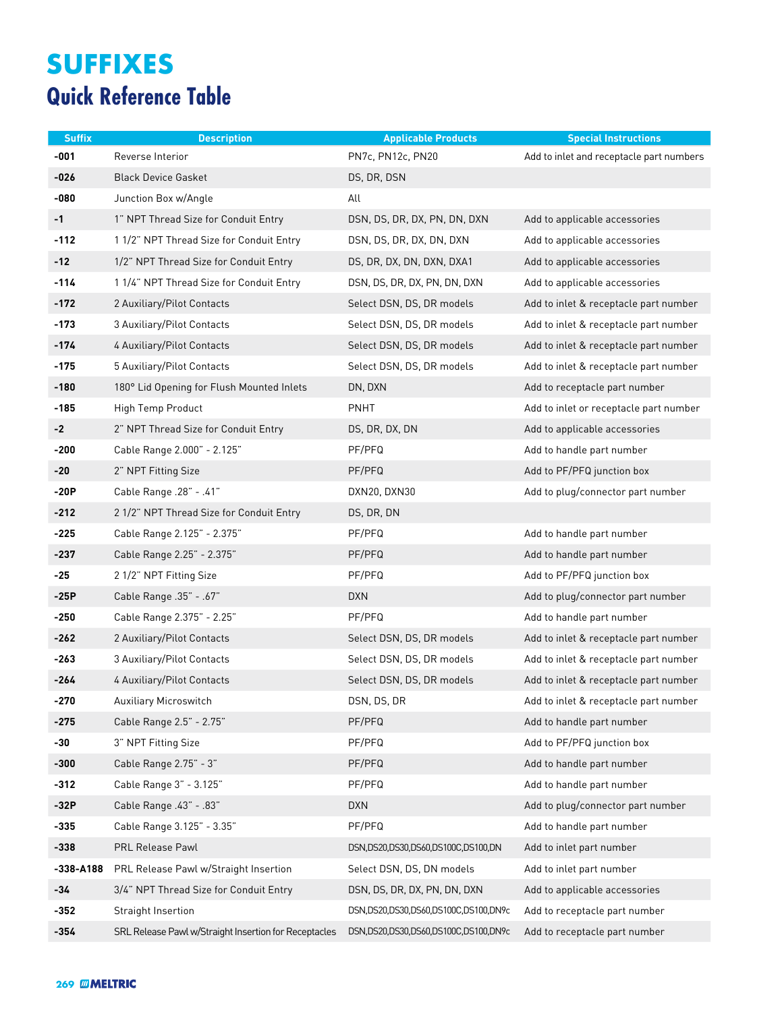## **SUFFIXES Quick Reference Table**

| <b>Suffix</b> | <b>Description</b>                                    | <b>Applicable Products</b>           | <b>Special Instructions</b>              |
|---------------|-------------------------------------------------------|--------------------------------------|------------------------------------------|
| $-001$        | Reverse Interior                                      | PN7c, PN12c, PN20                    | Add to inlet and receptacle part numbers |
| -026          | <b>Black Device Gasket</b>                            | DS, DR, DSN                          |                                          |
| -080          | Junction Box w/Angle                                  | All                                  |                                          |
| $-1$          | 1" NPT Thread Size for Conduit Entry                  | DSN, DS, DR, DX, PN, DN, DXN         | Add to applicable accessories            |
| $-112$        | 11/2" NPT Thread Size for Conduit Entry               | DSN, DS, DR, DX, DN, DXN             | Add to applicable accessories            |
| -12           | 1/2" NPT Thread Size for Conduit Entry                | DS, DR, DX, DN, DXN, DXA1            | Add to applicable accessories            |
| $-114$        | 11/4" NPT Thread Size for Conduit Entry               | DSN, DS, DR, DX, PN, DN, DXN         | Add to applicable accessories            |
| $-172$        | 2 Auxiliary/Pilot Contacts                            | Select DSN, DS, DR models            | Add to inlet & receptacle part number    |
| -173          | 3 Auxiliary/Pilot Contacts                            | Select DSN, DS, DR models            | Add to inlet & receptacle part number    |
| -174          | 4 Auxiliary/Pilot Contacts                            | Select DSN, DS, DR models            | Add to inlet & receptacle part number    |
| -175          | 5 Auxiliary/Pilot Contacts                            | Select DSN, DS, DR models            | Add to inlet & receptacle part number    |
| $-180$        | 180° Lid Opening for Flush Mounted Inlets             | DN, DXN                              | Add to receptacle part number            |
| -185          | High Temp Product                                     | PNHT                                 | Add to inlet or receptacle part number   |
| $-2$          | 2" NPT Thread Size for Conduit Entry                  | DS, DR, DX, DN                       | Add to applicable accessories            |
| $-200$        | Cable Range 2.000" - 2.125"                           | PF/PFQ                               | Add to handle part number                |
| $-20$         | 2" NPT Fitting Size                                   | PF/PFQ                               | Add to PF/PFQ junction box               |
| $-20P$        | Cable Range .28" - .41"                               | DXN20, DXN30                         | Add to plug/connector part number        |
| $-212$        | 2 1/2" NPT Thread Size for Conduit Entry              | DS, DR, DN                           |                                          |
| -225          | Cable Range 2.125" - 2.375"                           | PF/PFQ                               | Add to handle part number                |
| -237          | Cable Range 2.25" - 2.375"                            | PF/PFQ                               | Add to handle part number                |
| $-25$         | 2 1/2" NPT Fitting Size                               | PF/PFQ                               | Add to PF/PFQ junction box               |
| -25P          | Cable Range .35" - .67"                               | <b>DXN</b>                           | Add to plug/connector part number        |
| $-250$        | Cable Range 2.375" - 2.25"                            | PF/PFQ                               | Add to handle part number                |
| $-262$        | 2 Auxiliary/Pilot Contacts                            | Select DSN, DS, DR models            | Add to inlet & receptacle part number    |
| -263          | 3 Auxiliary/Pilot Contacts                            | Select DSN, DS, DR models            | Add to inlet & receptacle part number    |
| $-264$        | 4 Auxiliary/Pilot Contacts                            | Select DSN, DS, DR models            | Add to inlet & receptacle part number    |
| -270          | Auxiliary Microswitch                                 | DSN, DS, DR                          | Add to inlet & receptacle part number    |
| $-275$        | Cable Range 2.5" - 2.75"                              | PF/PFQ                               | Add to handle part number                |
| -30           | 3" NPT Fitting Size                                   | PF/PFQ                               | Add to PF/PFQ junction box               |
| -300          | Cable Range 2.75" - 3"                                | PF/PFQ                               | Add to handle part number                |
| $-312$        | Cable Range 3" - 3.125"                               | PF/PFQ                               | Add to handle part number                |
| $-32P$        | Cable Range .43" - .83"                               | <b>DXN</b>                           | Add to plug/connector part number        |
| -335          | Cable Range 3.125" - 3.35"                            | PF/PFQ                               | Add to handle part number                |
| $-338$        | PRL Release Pawl                                      | DSN,DS20,DS30,DS60,DS100C,DS100,DN   | Add to inlet part number                 |
| -338-A188     | PRL Release Pawl w/Straight Insertion                 | Select DSN, DS, DN models            | Add to inlet part number                 |
| -34           | 3/4" NPT Thread Size for Conduit Entry                | DSN, DS, DR, DX, PN, DN, DXN         | Add to applicable accessories            |
| $-352$        | Straight Insertion                                    | DSN,DS20,DS30,DS60,DS100C,DS100,DN9c | Add to receptacle part number            |
| $-354$        | SRL Release Pawl w/Straight Insertion for Receptacles | DSN,DS20,DS30,DS60,DS100C,DS100,DN9c | Add to receptacle part number            |